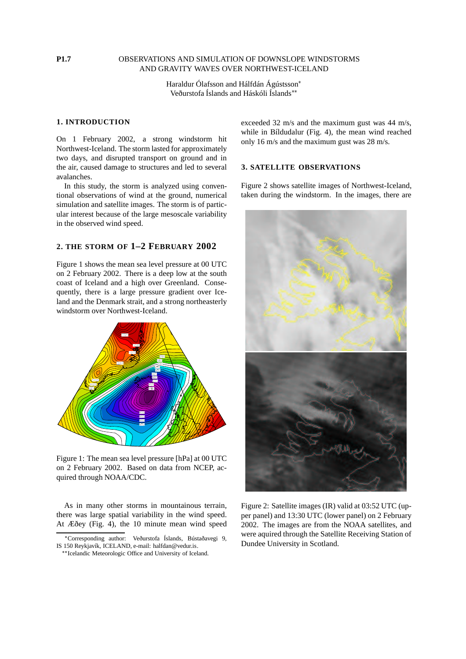#### **P1.7** OBSERVATIONS AND SIMULATION OF DOWNSLOPE WINDSTORMS AND GRAVITY WAVES OVER NORTHWEST-ICELAND

Haraldur Ólafsson and Hálfdán Ágústsson Veðurstofa Íslands and Háskóli Íslands

#### **1. INTRODUCTION**

On 1 February 2002, a strong windstorm hit Northwest-Iceland. The storm lasted for approximately two days, and disrupted transport on ground and in the air, caused damage to structures and led to several avalanches.

In this study, the storm is analyzed using conventional observations of wind at the ground, numerical simulation and satellite images. The storm is of particular interest because of the large mesoscale variability in the observed wind speed.

# **2. THE STORM OF 1–2 FEBRUARY 2002**

Figure 1 shows the mean sea level pressure at 00 UTC on 2 February 2002. There is a deep low at the south coast of Iceland and a high over Greenland. Consequently, there is a large pressure gradient over Iceland and the Denmark strait, and a strong northeasterly windstorm over Northwest-Iceland.



Figure 1: The mean sea level pressure [hPa] at 00 UTC on 2 February 2002. Based on data from NCEP, acquired through NOAA/CDC.

As in many other storms in mountainous terrain, there was large spatial variability in the wind speed. At Æðey (Fig. 4), the 10 minute mean wind speed exceeded 32 m/s and the maximum gust was 44 m/s, while in Bíldudalur (Fig. 4), the mean wind reached only 16 m/s and the maximum gust was 28 m/s.

## **3. SATELLITE OBSERVATIONS**

Figure 2 shows satellite images of Northwest-Iceland, taken during the windstorm. In the images, there are



Figure 2: Satellite images (IR) valid at 03:52 UTC (upper panel) and 13:30 UTC (lower panel) on 2 February 2002. The images are from the NOAA satellites, and were aquired through the Satellite Receiving Station of Dundee University in Scotland.

<sup>-</sup> Corresponding author: Veðurstofa Íslands, Bústaðavegi 9, IS 150 Reykjavík, ICELAND, e-mail: halfdan@vedur.is.

<sup>\*\*</sup> Icelandic Meteorologic Office and University of Iceland.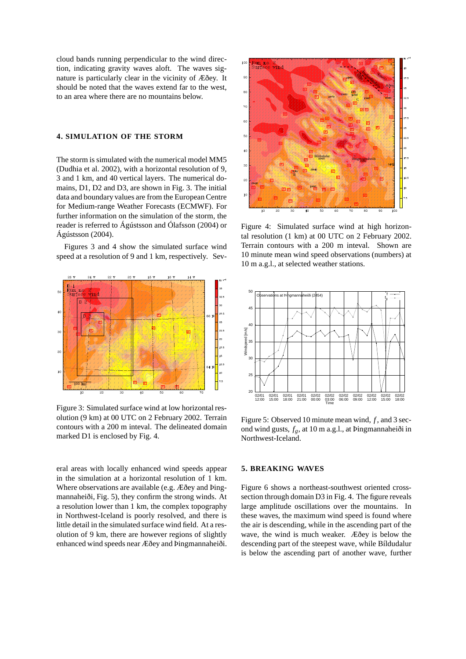cloud bands running perpendicular to the wind direction, indicating gravity waves aloft. The waves signature is particularly clear in the vicinity of Æðey. It should be noted that the waves extend far to the west, to an area where there are no mountains below.

#### **4. SIMULATION OF THE STORM**

The storm is simulated with the numerical model MM5 (Dudhia et al. 2002), with a horizontal resolution of 9, 3 and 1 km, and 40 vertical layers. The numerical domains, D1, D2 and D3, are shown in Fig. 3. The initial data and boundary values are from the European Centre for Medium-range Weather Forecasts (ECMWF). For further information on the simulation of the storm, the reader is referred to Ágústsson and Ólafsson (2004) or Ágústsson (2004).

Figures 3 and 4 show the simulated surface wind speed at a resolution of 9 and 1 km, respectively. Sev-



Figure 3: Simulated surface wind at low horizontal resolution (9 km) at 00 UTC on 2 February 2002. Terrain contours with a 200 m inteval. The delineated domain marked D1 is enclosed by Fig. 4.

eral areas with locally enhanced wind speeds appear in the simulation at a horizontal resolution of 1 km. Where observations are available (e.g. Æðey and Þingmannaheiði, Fig. 5), they confirm the strong winds. At a resolution lower than 1 km, the complex topography in Northwest-Iceland is poorly resolved, and there is little detail in the simulated surface wind field. At a resolution of 9 km, there are however regions of slightly enhanced wind speeds near Æðey and Þingmannaheiði.



Figure 4: Simulated surface wind at high horizontal resolution (1 km) at 00 UTC on 2 February 2002. Terrain contours with a 200 m inteval. Shown are 10 minute mean wind speed observations (numbers) at 10 m a.g.l., at selected weather stations.



Figure 5: Observed 10 minute mean wind, *f* , and 3 second wind gusts, *fg*, at 10 m a.g.l., at Þingmannaheiði in Northwest-Iceland.

#### **5. BREAKING WAVES**

Figure 6 shows a northeast-southwest oriented crosssection through domain D3 in Fig. 4. The figure reveals large amplitude oscillations over the mountains. In these waves, the maximum wind speed is found where the air is descending, while in the ascending part of the wave, the wind is much weaker. Æðey is below the descending part of the steepest wave, while Bíldudalur is below the ascending part of another wave, further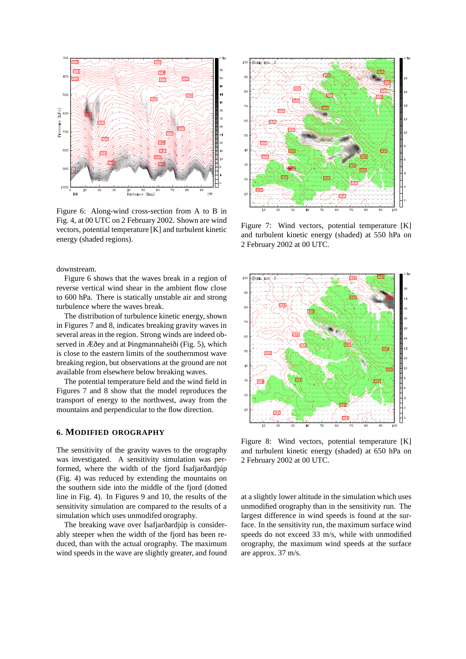

Figure 6: Along-wind cross-section from A to B in Fig. 4, at 00 UTC on 2 February 2002. Shown are wind vectors, potential temperature [K] and turbulent kinetic energy (shaded regions).

downstream.

Figure 6 shows that the waves break in a region of reverse vertical wind shear in the ambient flow close to 600 hPa. There is statically unstable air and strong turbulence where the waves break.

The distribution of turbulence kinetic energy, shown in Figures 7 and 8, indicates breaking gravity waves in several areas in the region. Strong winds are indeed observed in Æðey and at Þingmannaheiði (Fig. 5), which is close to the eastern limits of the southernmost wave breaking region, but observations at the ground are not available from elsewhere below breaking waves.

The potential temperature field and the wind field in Figures 7 and 8 show that the model reproduces the transport of energy to the northwest, away from the mountains and perpendicular to the flow direction.

#### **6. MODIFIED OROGRAPHY**

The sensitivity of the gravity waves to the orography was investigated. A sensitivity simulation was performed, where the width of the fjord Ísafjarðardjúp (Fig. 4) was reduced by extending the mountains on the southern side into the middle of the fjord (dotted line in Fig. 4). In Figures 9 and 10, the results of the sensitivity simulation are compared to the results of a simulation which uses unmodifed orography.

The breaking wave over Ísafjarðardjúp is considerably steeper when the width of the fjord has been reduced, than with the actual orography. The maximum wind speeds in the wave are slightly greater, and found



Figure 7: Wind vectors, potential temperature [K] and turbulent kinetic energy (shaded) at 550 hPa on 2 February 2002 at 00 UTC.



Figure 8: Wind vectors, potential temperature [K] and turbulent kinetic energy (shaded) at 650 hPa on 2 February 2002 at 00 UTC.

at a slightly lower altitude in the simulation which uses unmodified orography than in the sensitivity run. The largest difference in wind speeds is found at the surface. In the sensitivity run, the maximum surface wind speeds do not exceed 33 m/s, while with unmodified orography, the maximum wind speeds at the surface are approx. 37 m/s.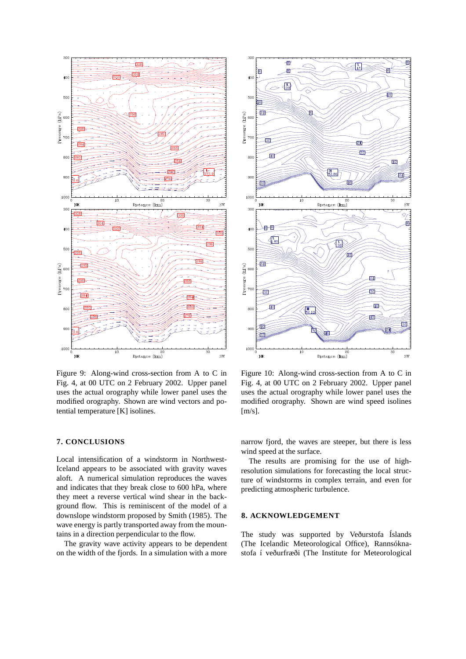

Figure 9: Along-wind cross-section from A to C in Fig. 4, at 00 UTC on 2 February 2002. Upper panel uses the actual orography while lower panel uses the modified orography. Shown are wind vectors and potential temperature [K] isolines.

### **7. CONCLUSIONS**

Local intensification of a windstorm in Northwest-Iceland appears to be associated with gravity waves aloft. A numerical simulation reproduces the waves and indicates that they break close to 600 hPa, where they meet a reverse vertical wind shear in the background flow. This is reminiscent of the model of a downslope windstorm proposed by Smith (1985). The wave energy is partly transported away from the mountains in a direction perpendicular to the flow.

The gravity wave activity appears to be dependent on the width of the fjords. In a simulation with a more



Figure 10: Along-wind cross-section from A to C in Fig. 4, at 00 UTC on 2 February 2002. Upper panel uses the actual orography while lower panel uses the modified orography. Shown are wind speed isolines [m/s].

narrow fjord, the waves are steeper, but there is less wind speed at the surface.

The results are promising for the use of highresolution simulations for forecasting the local structure of windstorms in complex terrain, and even for predicting atmospheric turbulence.

#### **8. ACKNOWLEDGEMENT**

The study was supported by Veðurstofa Íslands (The Icelandic Meteorological Office), Rannsóknastofa í veðurfræði (The Institute for Meteorological